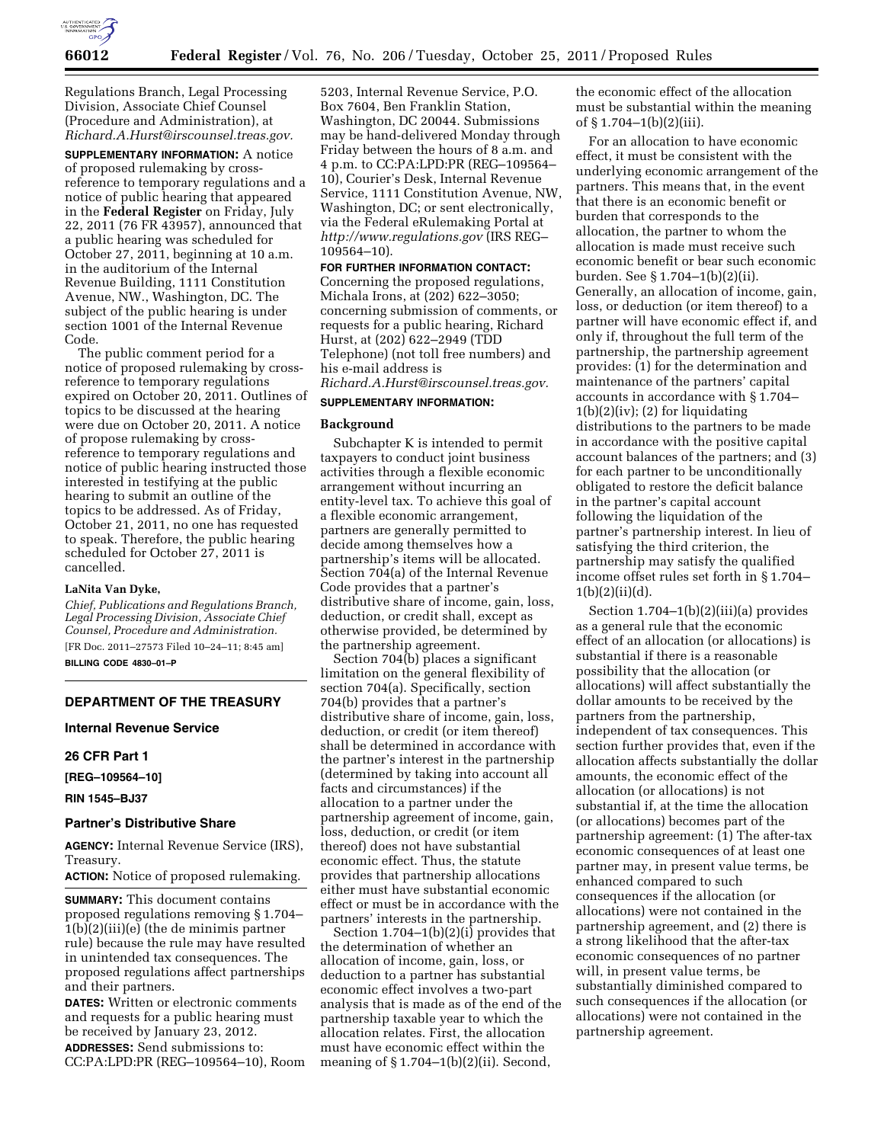

Regulations Branch, Legal Processing Division, Associate Chief Counsel (Procedure and Administration), at *[Richard.A.Hurst@irscounsel.treas.gov.](mailto:Richard.A.Hurst@irscounsel.treas.gov)* 

**SUPPLEMENTARY INFORMATION:** A notice of proposed rulemaking by crossreference to temporary regulations and a notice of public hearing that appeared in the **Federal Register** on Friday, July 22, 2011 (76 FR 43957), announced that a public hearing was scheduled for October 27, 2011, beginning at 10 a.m. in the auditorium of the Internal Revenue Building, 1111 Constitution Avenue, NW., Washington, DC. The subject of the public hearing is under section 1001 of the Internal Revenue Code.

The public comment period for a notice of proposed rulemaking by crossreference to temporary regulations expired on October 20, 2011. Outlines of topics to be discussed at the hearing were due on October 20, 2011. A notice of propose rulemaking by crossreference to temporary regulations and notice of public hearing instructed those interested in testifying at the public hearing to submit an outline of the topics to be addressed. As of Friday, October 21, 2011, no one has requested to speak. Therefore, the public hearing scheduled for October 27, 2011 is cancelled.

#### **LaNita Van Dyke,**

*Chief, Publications and Regulations Branch, Legal Processing Division, Associate Chief Counsel, Procedure and Administration.* 

[FR Doc. 2011–27573 Filed 10–24–11; 8:45 am] **BILLING CODE 4830–01–P** 

# **DEPARTMENT OF THE TREASURY**

**Internal Revenue Service** 

#### **26 CFR Part 1**

**[REG–109564–10]** 

**RIN 1545–BJ37** 

## **Partner's Distributive Share**

**AGENCY:** Internal Revenue Service (IRS), Treasury.

**ACTION:** Notice of proposed rulemaking.

**SUMMARY:** This document contains proposed regulations removing § 1.704– 1(b)(2)(iii)(e) (the de minimis partner rule) because the rule may have resulted in unintended tax consequences. The proposed regulations affect partnerships and their partners.

**DATES:** Written or electronic comments and requests for a public hearing must be received by January 23, 2012.

**ADDRESSES:** Send submissions to: CC:PA:LPD:PR (REG–109564–10), Room

5203, Internal Revenue Service, P.O. Box 7604, Ben Franklin Station, Washington, DC 20044. Submissions may be hand-delivered Monday through Friday between the hours of 8 a.m. and 4 p.m. to CC:PA:LPD:PR (REG–109564– 10), Courier's Desk, Internal Revenue Service, 1111 Constitution Avenue, NW, Washington, DC; or sent electronically, via the Federal eRulemaking Portal at *<http://www.regulations.gov>* (IRS REG– 109564–10).

#### **FOR FURTHER INFORMATION CONTACT:**

Concerning the proposed regulations, Michala Irons, at (202) 622–3050; concerning submission of comments, or requests for a public hearing, Richard Hurst, at (202) 622–2949 (TDD Telephone) (not toll free numbers) and his e-mail address is *[Richard.A.Hurst@irscounsel.treas.gov.](mailto:Richard.A.Hurst@irscounsel.treas.gov)* 

# **SUPPLEMENTARY INFORMATION:**

# **Background**

Subchapter K is intended to permit taxpayers to conduct joint business activities through a flexible economic arrangement without incurring an entity-level tax. To achieve this goal of a flexible economic arrangement, partners are generally permitted to decide among themselves how a partnership's items will be allocated. Section 704(a) of the Internal Revenue Code provides that a partner's distributive share of income, gain, loss, deduction, or credit shall, except as otherwise provided, be determined by the partnership agreement.

Section 704(b) places a significant limitation on the general flexibility of section 704(a). Specifically, section 704(b) provides that a partner's distributive share of income, gain, loss, deduction, or credit (or item thereof) shall be determined in accordance with the partner's interest in the partnership (determined by taking into account all facts and circumstances) if the allocation to a partner under the partnership agreement of income, gain, loss, deduction, or credit (or item thereof) does not have substantial economic effect. Thus, the statute provides that partnership allocations either must have substantial economic effect or must be in accordance with the partners' interests in the partnership.

Section 1.704–1(b)(2)(i) provides that the determination of whether an allocation of income, gain, loss, or deduction to a partner has substantial economic effect involves a two-part analysis that is made as of the end of the partnership taxable year to which the allocation relates. First, the allocation must have economic effect within the meaning of § 1.704–1(b)(2)(ii). Second,

the economic effect of the allocation must be substantial within the meaning of § 1.704–1(b)(2)(iii).

For an allocation to have economic effect, it must be consistent with the underlying economic arrangement of the partners. This means that, in the event that there is an economic benefit or burden that corresponds to the allocation, the partner to whom the allocation is made must receive such economic benefit or bear such economic burden. See § 1.704–1(b)(2)(ii). Generally, an allocation of income, gain, loss, or deduction (or item thereof) to a partner will have economic effect if, and only if, throughout the full term of the partnership, the partnership agreement provides: (1) for the determination and maintenance of the partners' capital accounts in accordance with § 1.704–  $1(b)(2)(iv)$ ; (2) for liquidating distributions to the partners to be made in accordance with the positive capital account balances of the partners; and (3) for each partner to be unconditionally obligated to restore the deficit balance in the partner's capital account following the liquidation of the partner's partnership interest. In lieu of satisfying the third criterion, the partnership may satisfy the qualified income offset rules set forth in § 1.704–  $1(b)(2)(ii)(d)$ .

Section 1.704–1(b)(2)(iii)(a) provides as a general rule that the economic effect of an allocation (or allocations) is substantial if there is a reasonable possibility that the allocation (or allocations) will affect substantially the dollar amounts to be received by the partners from the partnership, independent of tax consequences. This section further provides that, even if the allocation affects substantially the dollar amounts, the economic effect of the allocation (or allocations) is not substantial if, at the time the allocation (or allocations) becomes part of the partnership agreement: (1) The after-tax economic consequences of at least one partner may, in present value terms, be enhanced compared to such consequences if the allocation (or allocations) were not contained in the partnership agreement, and (2) there is a strong likelihood that the after-tax economic consequences of no partner will, in present value terms, be substantially diminished compared to such consequences if the allocation (or allocations) were not contained in the partnership agreement.